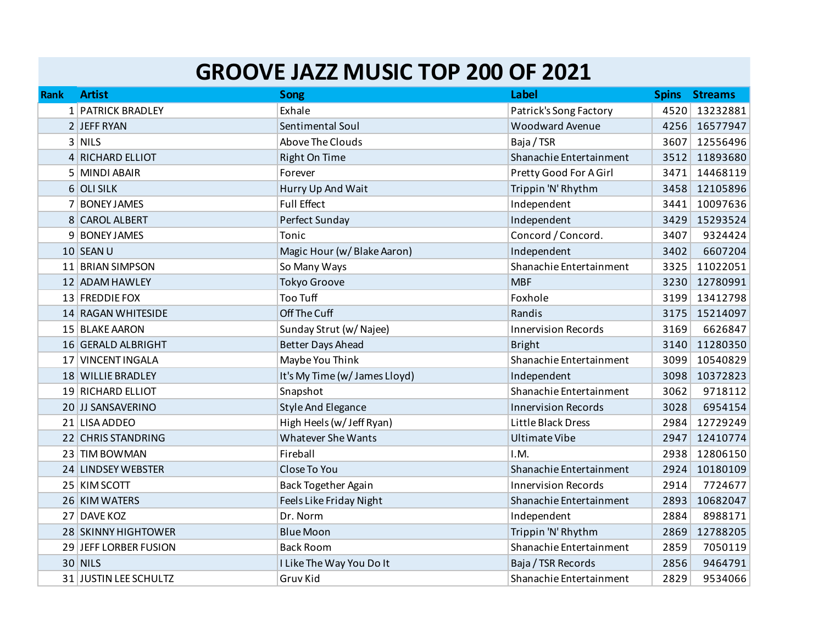## **GROOVE JAZZ MUSIC TOP 200 OF 2021**

| <b>Rank</b> | <b>Artist</b>         | <b>Song</b>                   | Label                      | <b>Spins</b> | <b>Streams</b> |
|-------------|-----------------------|-------------------------------|----------------------------|--------------|----------------|
|             | 1 PATRICK BRADLEY     | Exhale                        | Patrick's Song Factory     | 4520         | 13232881       |
|             | 2 JEFF RYAN           | Sentimental Soul              | <b>Woodward Avenue</b>     | 4256         | 16577947       |
|             | $3$ NILS              | Above The Clouds              | Baja / TSR                 | 3607         | 12556496       |
|             | 4 RICHARD ELLIOT      | Right On Time                 | Shanachie Entertainment    | 3512         | 11893680       |
|             | 5 MINDI ABAIR         | Forever                       | Pretty Good For A Girl     | 3471         | 14468119       |
|             | 6 OLI SILK            | Hurry Up And Wait             | Trippin 'N' Rhythm         | 3458         | 12105896       |
|             | 7 BONEY JAMES         | <b>Full Effect</b>            | Independent                | 3441         | 10097636       |
|             | 8 CAROL ALBERT        | Perfect Sunday                | Independent                | 3429         | 15293524       |
|             | 9 BONEY JAMES         | Tonic                         | Concord / Concord.         | 3407         | 9324424        |
|             | 10 SEAN U             | Magic Hour (w/Blake Aaron)    | Independent                | 3402         | 6607204        |
|             | 11 BRIAN SIMPSON      | So Many Ways                  | Shanachie Entertainment    | 3325         | 11022051       |
|             | 12 ADAM HAWLEY        | <b>Tokyo Groove</b>           | <b>MBF</b>                 | 3230         | 12780991       |
|             | 13 FREDDIE FOX        | <b>Too Tuff</b>               | Foxhole                    | 3199         | 13412798       |
|             | 14 RAGAN WHITESIDE    | Off The Cuff                  | Randis                     | 3175         | 15214097       |
|             | 15 BLAKE AARON        | Sunday Strut (w/ Najee)       | <b>Innervision Records</b> | 3169         | 6626847        |
|             | 16 GERALD ALBRIGHT    | <b>Better Days Ahead</b>      | <b>Bright</b>              | 3140         | 11280350       |
|             | 17 VINCENT INGALA     | Maybe You Think               | Shanachie Entertainment    | 3099         | 10540829       |
|             | 18 WILLIE BRADLEY     | It's My Time (w/ James Lloyd) | Independent                | 3098         | 10372823       |
|             | 19 RICHARD ELLIOT     | Snapshot                      | Shanachie Entertainment    | 3062         | 9718112        |
|             | 20 JJ SANSAVERINO     | <b>Style And Elegance</b>     | <b>Innervision Records</b> | 3028         | 6954154        |
|             | 21 LISA ADDEO         | High Heels (w/Jeff Ryan)      | Little Black Dress         | 2984         | 12729249       |
|             | 22 CHRIS STANDRING    | <b>Whatever She Wants</b>     | Ultimate Vibe              | 2947         | 12410774       |
|             | 23 TIM BOWMAN         | Fireball                      | I.M.                       | 2938         | 12806150       |
|             | 24 LINDSEY WEBSTER    | Close To You                  | Shanachie Entertainment    | 2924         | 10180109       |
|             | 25 KIM SCOTT          | <b>Back Together Again</b>    | <b>Innervision Records</b> | 2914         | 7724677        |
|             | 26 KIM WATERS         | Feels Like Friday Night       | Shanachie Entertainment    | 2893         | 10682047       |
|             | 27 DAVE KOZ           | Dr. Norm                      | Independent                | 2884         | 8988171        |
|             | 28 SKINNY HIGHTOWER   | <b>Blue Moon</b>              | Trippin 'N' Rhythm         | 2869         | 12788205       |
|             | 29 JEFF LORBER FUSION | <b>Back Room</b>              | Shanachie Entertainment    | 2859         | 7050119        |
|             | <b>30 NILS</b>        | I Like The Way You Do It      | Baja / TSR Records         | 2856         | 9464791        |
|             | 31 JUSTIN LEE SCHULTZ | Gruv Kid                      | Shanachie Entertainment    | 2829         | 9534066        |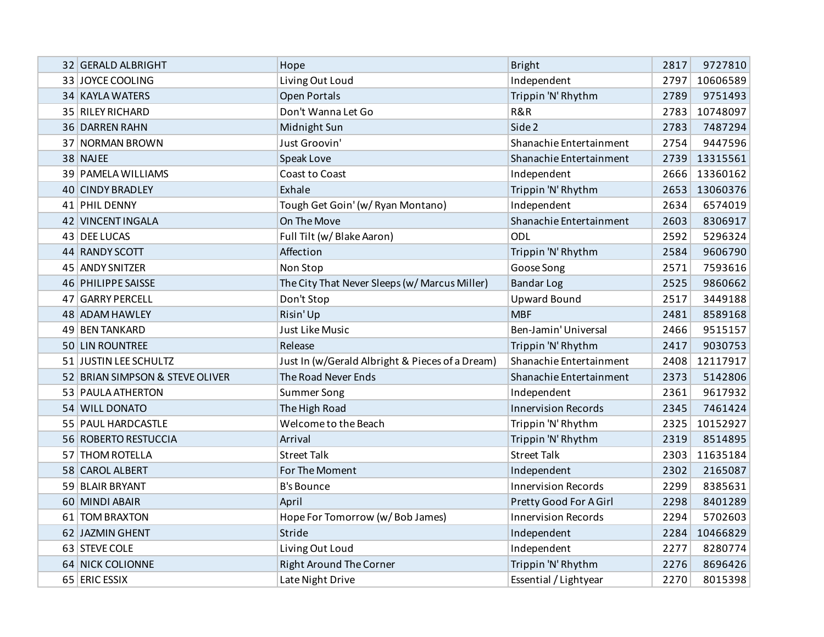| 32 GERALD ALBRIGHT              | Hope                                            | <b>Bright</b>              | 2817 | 9727810  |
|---------------------------------|-------------------------------------------------|----------------------------|------|----------|
| 33 JOYCE COOLING                | Living Out Loud                                 | Independent                | 2797 | 10606589 |
| 34 KAYLA WATERS                 | Open Portals                                    | Trippin 'N' Rhythm         | 2789 | 9751493  |
| 35 RILEY RICHARD                | Don't Wanna Let Go                              | R&R                        | 2783 | 10748097 |
| 36 DARREN RAHN                  | Midnight Sun                                    | Side 2                     | 2783 | 7487294  |
| 37 NORMAN BROWN                 | Just Groovin'                                   | Shanachie Entertainment    | 2754 | 9447596  |
| 38 NAJEE                        | Speak Love                                      | Shanachie Entertainment    | 2739 | 13315561 |
| 39 PAMELA WILLIAMS              | <b>Coast to Coast</b>                           | Independent                | 2666 | 13360162 |
| 40 CINDY BRADLEY                | Exhale                                          | Trippin 'N' Rhythm         | 2653 | 13060376 |
| 41 PHIL DENNY                   | Tough Get Goin' (w/ Ryan Montano)               | Independent                | 2634 | 6574019  |
| 42 VINCENT INGALA               | On The Move                                     | Shanachie Entertainment    | 2603 | 8306917  |
| 43 DEE LUCAS                    | Full Tilt (w/ Blake Aaron)                      | ODL                        | 2592 | 5296324  |
| 44 RANDY SCOTT                  | Affection                                       | Trippin 'N' Rhythm         | 2584 | 9606790  |
| 45 ANDY SNITZER                 | Non Stop                                        | Goose Song                 | 2571 | 7593616  |
| 46 PHILIPPE SAISSE              | The City That Never Sleeps (w/ Marcus Miller)   | <b>Bandar Log</b>          | 2525 | 9860662  |
| 47 GARRY PERCELL                | Don't Stop                                      | <b>Upward Bound</b>        | 2517 | 3449188  |
| 48 ADAM HAWLEY                  | Risin' Up                                       | <b>MBF</b>                 | 2481 | 8589168  |
| 49 BEN TANKARD                  | Just Like Music                                 | Ben-Jamin' Universal       | 2466 | 9515157  |
| 50 LIN ROUNTREE                 | Release                                         | Trippin 'N' Rhythm         | 2417 | 9030753  |
| 51 JUSTIN LEE SCHULTZ           | Just In (w/Gerald Albright & Pieces of a Dream) | Shanachie Entertainment    | 2408 | 12117917 |
| 52 BRIAN SIMPSON & STEVE OLIVER | The Road Never Ends                             | Shanachie Entertainment    | 2373 | 5142806  |
| 53 PAULA ATHERTON               | <b>Summer Song</b>                              | Independent                | 2361 | 9617932  |
| 54 WILL DONATO                  | The High Road                                   | <b>Innervision Records</b> | 2345 | 7461424  |
| 55 PAUL HARDCASTLE              | Welcome to the Beach                            | Trippin 'N' Rhythm         | 2325 | 10152927 |
| 56 ROBERTO RESTUCCIA            | Arrival                                         | Trippin 'N' Rhythm         | 2319 | 8514895  |
| 57 THOM ROTELLA                 | <b>Street Talk</b>                              | <b>Street Talk</b>         | 2303 | 11635184 |
| 58 CAROL ALBERT                 | For The Moment                                  | Independent                | 2302 | 2165087  |
| 59 BLAIR BRYANT                 | <b>B's Bounce</b>                               | <b>Innervision Records</b> | 2299 | 8385631  |
| 60 MINDI ABAIR                  | April                                           | Pretty Good For A Girl     | 2298 | 8401289  |
| 61 TOM BRAXTON                  | Hope For Tomorrow (w/Bob James)                 | <b>Innervision Records</b> | 2294 | 5702603  |
| 62 JAZMIN GHENT                 | Stride                                          | Independent                | 2284 | 10466829 |
| 63 STEVE COLE                   | Living Out Loud                                 | Independent                | 2277 | 8280774  |
| 64 NICK COLIONNE                | <b>Right Around The Corner</b>                  | Trippin 'N' Rhythm         | 2276 | 8696426  |
| 65 ERIC ESSIX                   | Late Night Drive                                | Essential / Lightyear      | 2270 | 8015398  |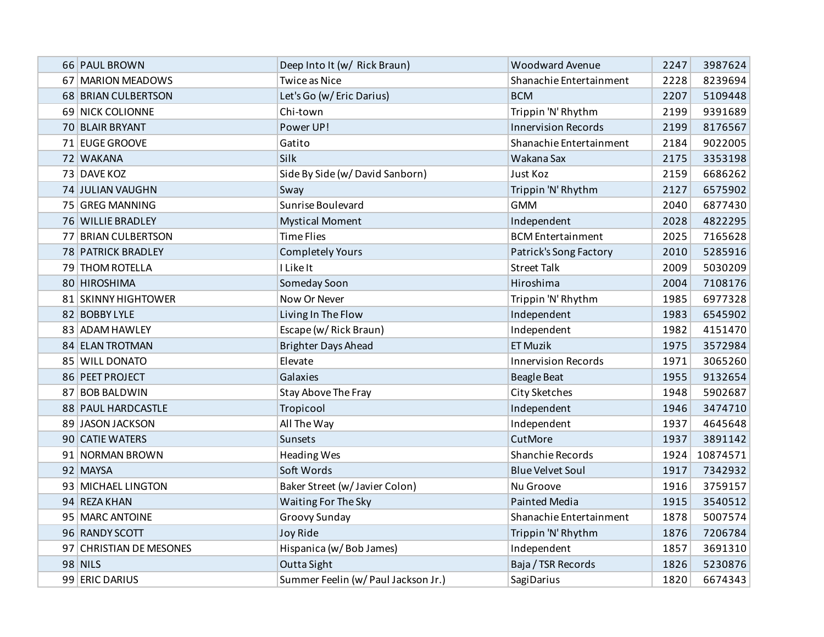| 66 PAUL BROWN           | Deep Into It (w/ Rick Braun)        | <b>Woodward Avenue</b>     | 2247 | 3987624  |
|-------------------------|-------------------------------------|----------------------------|------|----------|
| 67   MARION MEADOWS     | <b>Twice as Nice</b>                | Shanachie Entertainment    | 2228 | 8239694  |
| 68 BRIAN CULBERTSON     | Let's Go (w/ Eric Darius)           | <b>BCM</b>                 | 2207 | 5109448  |
| 69 NICK COLIONNE        | Chi-town                            | Trippin 'N' Rhythm         | 2199 | 9391689  |
| 70 BLAIR BRYANT         | Power UP!                           | <b>Innervision Records</b> | 2199 | 8176567  |
| 71 EUGE GROOVE          | Gatito                              | Shanachie Entertainment    | 2184 | 9022005  |
| 72 WAKANA               | Silk                                | Wakana Sax                 | 2175 | 3353198  |
| 73 DAVE KOZ             | Side By Side (w/David Sanborn)      | Just Koz                   | 2159 | 6686262  |
| 74 JULIAN VAUGHN        | Sway                                | Trippin 'N' Rhythm         | 2127 | 6575902  |
| 75 GREG MANNING         | Sunrise Boulevard                   | <b>GMM</b>                 | 2040 | 6877430  |
| 76 WILLIE BRADLEY       | <b>Mystical Moment</b>              | Independent                | 2028 | 4822295  |
| 77 BRIAN CULBERTSON     | <b>Time Flies</b>                   | <b>BCM</b> Entertainment   | 2025 | 7165628  |
| 78 PATRICK BRADLEY      | <b>Completely Yours</b>             | Patrick's Song Factory     | 2010 | 5285916  |
| 79 THOM ROTELLA         | I Like It                           | <b>Street Talk</b>         | 2009 | 5030209  |
| 80 HIROSHIMA            | Someday Soon                        | Hiroshima                  | 2004 | 7108176  |
| 81 SKINNY HIGHTOWER     | Now Or Never                        | Trippin 'N' Rhythm         | 1985 | 6977328  |
| 82 BOBBY LYLE           | Living In The Flow                  | Independent                | 1983 | 6545902  |
| 83 ADAM HAWLEY          | Escape (w/ Rick Braun)              | Independent                | 1982 | 4151470  |
| 84 ELAN TROTMAN         | <b>Brighter Days Ahead</b>          | <b>ET Muzik</b>            | 1975 | 3572984  |
| 85 WILL DONATO          | Elevate                             | <b>Innervision Records</b> | 1971 | 3065260  |
| 86 PEET PROJECT         | Galaxies                            | <b>Beagle Beat</b>         | 1955 | 9132654  |
| 87 BOB BALDWIN          | Stay Above The Fray                 | City Sketches              | 1948 | 5902687  |
| 88 PAUL HARDCASTLE      | Tropicool                           | Independent                | 1946 | 3474710  |
| 89 JASON JACKSON        | All The Way                         | Independent                | 1937 | 4645648  |
| 90 CATIE WATERS         | Sunsets                             | CutMore                    | 1937 | 3891142  |
| 91 NORMAN BROWN         | Heading Wes                         | Shanchie Records           | 1924 | 10874571 |
| 92 MAYSA                | Soft Words                          | <b>Blue Velvet Soul</b>    | 1917 | 7342932  |
| 93 MICHAEL LINGTON      | Baker Street (w/ Javier Colon)      | Nu Groove                  | 1916 | 3759157  |
| 94 REZA KHAN            | Waiting For The Sky                 | Painted Media              | 1915 | 3540512  |
| 95 MARC ANTOINE         | Groovy Sunday                       | Shanachie Entertainment    | 1878 | 5007574  |
| 96 RANDY SCOTT          | Joy Ride                            | Trippin 'N' Rhythm         | 1876 | 7206784  |
| 97 CHRISTIAN DE MESONES | Hispanica (w/Bob James)             | Independent                | 1857 | 3691310  |
| <b>98 NILS</b>          | Outta Sight                         | Baja / TSR Records         | 1826 | 5230876  |
| 99 ERIC DARIUS          | Summer Feelin (w/ Paul Jackson Jr.) | <b>SagiDarius</b>          | 1820 | 6674343  |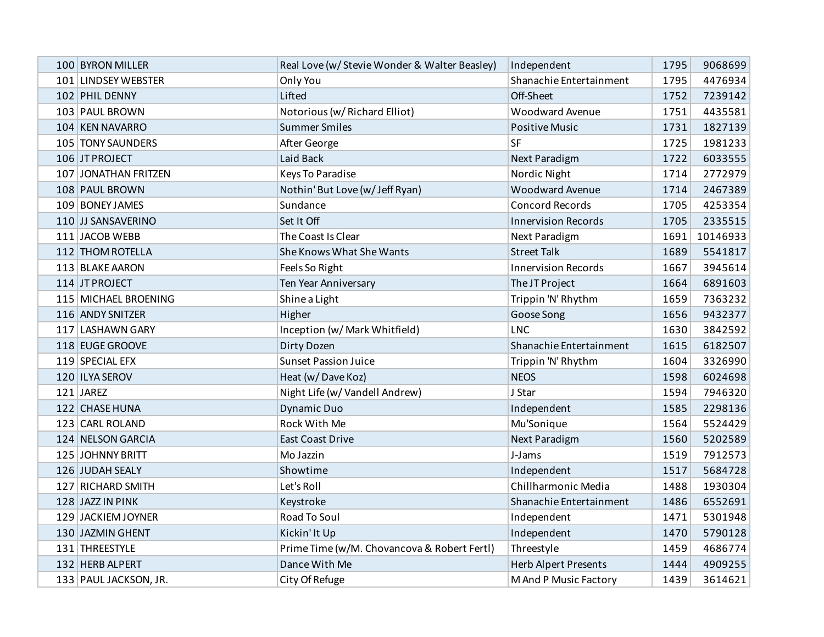| 100 BYRON MILLER      | Real Love (w/ Stevie Wonder & Walter Beasley) | Independent                 | 1795 | 9068699  |
|-----------------------|-----------------------------------------------|-----------------------------|------|----------|
| 101 LINDSEY WEBSTER   | Only You                                      | Shanachie Entertainment     | 1795 | 4476934  |
| 102 PHIL DENNY        | Lifted                                        | Off-Sheet                   | 1752 | 7239142  |
| 103 PAUL BROWN        | Notorious (w/ Richard Elliot)                 | <b>Woodward Avenue</b>      | 1751 | 4435581  |
| 104 KEN NAVARRO       | <b>Summer Smiles</b>                          | <b>Positive Music</b>       | 1731 | 1827139  |
| 105 TONY SAUNDERS     | After George                                  | SF                          | 1725 | 1981233  |
| 106 JT PROJECT        | Laid Back                                     | <b>Next Paradigm</b>        | 1722 | 6033555  |
| 107 JONATHAN FRITZEN  | Keys To Paradise                              | Nordic Night                | 1714 | 2772979  |
| 108 PAUL BROWN        | Nothin' But Love (w/ Jeff Ryan)               | Woodward Avenue             | 1714 | 2467389  |
| 109 BONEY JAMES       | Sundance                                      | <b>Concord Records</b>      | 1705 | 4253354  |
| 110 JJ SANSAVERINO    | Set It Off                                    | <b>Innervision Records</b>  | 1705 | 2335515  |
| 111 JACOB WEBB        | The Coast Is Clear                            | Next Paradigm               | 1691 | 10146933 |
| 112 THOM ROTELLA      | She Knows What She Wants                      | <b>Street Talk</b>          | 1689 | 5541817  |
| 113 BLAKE AARON       | Feels So Right                                | <b>Innervision Records</b>  | 1667 | 3945614  |
| 114 JT PROJECT        | Ten Year Anniversary                          | The JT Project              | 1664 | 6891603  |
| 115 MICHAEL BROENING  | Shine a Light                                 | Trippin 'N' Rhythm          | 1659 | 7363232  |
| 116 ANDY SNITZER      | Higher                                        | Goose Song                  | 1656 | 9432377  |
| 117 LASHAWN GARY      | Inception (w/ Mark Whitfield)                 | <b>LNC</b>                  | 1630 | 3842592  |
| 118 EUGE GROOVE       | Dirty Dozen                                   | Shanachie Entertainment     | 1615 | 6182507  |
| 119 SPECIAL EFX       | <b>Sunset Passion Juice</b>                   | Trippin 'N' Rhythm          | 1604 | 3326990  |
| 120 ILYA SEROV        | Heat (w/Dave Koz)                             | <b>NEOS</b>                 | 1598 | 6024698  |
| 121 JAREZ             | Night Life (w/ Vandell Andrew)                | J Star                      | 1594 | 7946320  |
| 122 CHASE HUNA        | <b>Dynamic Duo</b>                            | Independent                 | 1585 | 2298136  |
| 123 CARL ROLAND       | Rock With Me                                  | Mu'Sonique                  | 1564 | 5524429  |
| 124 NELSON GARCIA     | <b>East Coast Drive</b>                       | <b>Next Paradigm</b>        | 1560 | 5202589  |
| 125 JOHNNY BRITT      | Mo Jazzin                                     | J-Jams                      | 1519 | 7912573  |
| 126 JUDAH SEALY       | Showtime                                      | Independent                 | 1517 | 5684728  |
| 127 RICHARD SMITH     | Let's Roll                                    | Chillharmonic Media         | 1488 | 1930304  |
| 128 JAZZ IN PINK      | Keystroke                                     | Shanachie Entertainment     | 1486 | 6552691  |
| 129 JACKIEM JOYNER    | Road To Soul                                  | Independent                 | 1471 | 5301948  |
| 130 JAZMIN GHENT      | Kickin' It Up                                 | Independent                 | 1470 | 5790128  |
| 131 THREESTYLE        | Prime Time (w/M. Chovancova & Robert Fertl)   | Threestyle                  | 1459 | 4686774  |
| 132 HERB ALPERT       | Dance With Me                                 | <b>Herb Alpert Presents</b> | 1444 | 4909255  |
| 133 PAUL JACKSON, JR. | City Of Refuge                                | M And P Music Factory       | 1439 | 3614621  |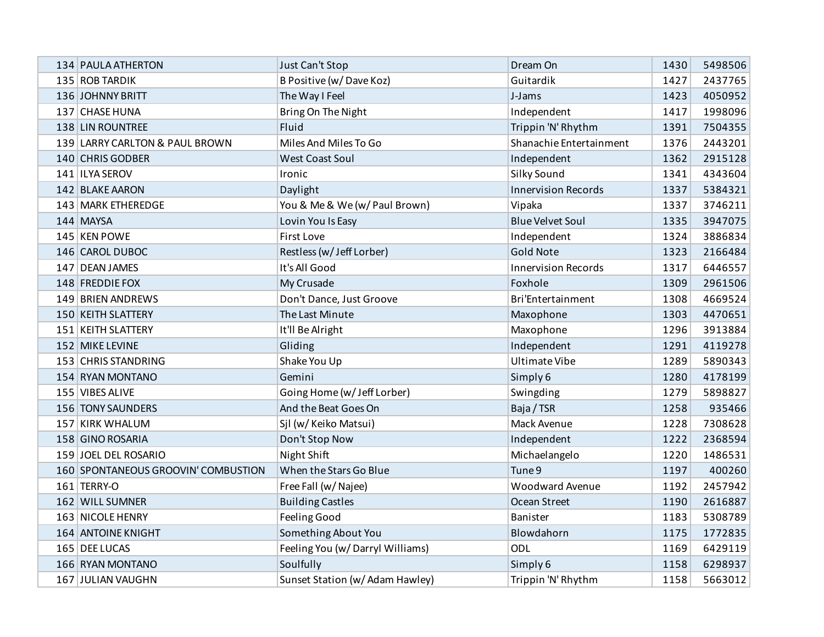| 134 PAULA ATHERTON                  | Just Can't Stop                 | Dream On                   | 1430 | 5498506 |
|-------------------------------------|---------------------------------|----------------------------|------|---------|
| 135 ROB TARDIK                      | B Positive (w/Dave Koz)         | Guitardik                  | 1427 | 2437765 |
| 136 JOHNNY BRITT                    | The Way I Feel                  | J-Jams                     | 1423 | 4050952 |
| 137 CHASE HUNA                      | Bring On The Night              | Independent                | 1417 | 1998096 |
| 138 LIN ROUNTREE                    | Fluid                           | Trippin 'N' Rhythm         | 1391 | 7504355 |
| 139 LARRY CARLTON & PAUL BROWN      | Miles And Miles To Go           | Shanachie Entertainment    | 1376 | 2443201 |
| 140 CHRIS GODBER                    | <b>West Coast Soul</b>          | Independent                | 1362 | 2915128 |
| 141 ILYA SEROV                      | Ironic                          | Silky Sound                | 1341 | 4343604 |
| 142 BLAKE AARON                     | Daylight                        | <b>Innervision Records</b> | 1337 | 5384321 |
| 143 MARK ETHEREDGE                  | You & Me & We (w/ Paul Brown)   | Vipaka                     | 1337 | 3746211 |
| 144 MAYSA                           | Lovin You Is Easy               | <b>Blue Velvet Soul</b>    | 1335 | 3947075 |
| 145 KEN POWE                        | <b>First Love</b>               | Independent                | 1324 | 3886834 |
| 146 CAROL DUBOC                     | Restless (w/Jeff Lorber)        | <b>Gold Note</b>           | 1323 | 2166484 |
| 147 DEAN JAMES                      | It's All Good                   | <b>Innervision Records</b> | 1317 | 6446557 |
| 148 FREDDIE FOX                     | My Crusade                      | Foxhole                    | 1309 | 2961506 |
| 149 BRIEN ANDREWS                   | Don't Dance, Just Groove        | Bri'Entertainment          | 1308 | 4669524 |
| 150 KEITH SLATTERY                  | The Last Minute                 | Maxophone                  | 1303 | 4470651 |
| 151 KEITH SLATTERY                  | It'll Be Alright                | Maxophone                  | 1296 | 3913884 |
| 152 MIKE LEVINE                     | Gliding                         | Independent                | 1291 | 4119278 |
| 153 CHRIS STANDRING                 | Shake You Up                    | <b>Ultimate Vibe</b>       | 1289 | 5890343 |
| 154 RYAN MONTANO                    | Gemini                          | Simply 6                   | 1280 | 4178199 |
| 155 VIBES ALIVE                     | Going Home (w/ Jeff Lorber)     | Swingding                  | 1279 | 5898827 |
| 156 TONY SAUNDERS                   | And the Beat Goes On            | Baja / TSR                 | 1258 | 935466  |
| 157 KIRK WHALUM                     | Sjl (w/ Keiko Matsui)           | Mack Avenue                | 1228 | 7308628 |
| 158 GINO ROSARIA                    | Don't Stop Now                  | Independent                | 1222 | 2368594 |
| 159 JOEL DEL ROSARIO                | Night Shift                     | Michaelangelo              | 1220 | 1486531 |
| 160 SPONTANEOUS GROOVIN' COMBUSTION | When the Stars Go Blue          | Tune 9                     | 1197 | 400260  |
| 161 TERRY-O                         | Free Fall (w/Najee)             | <b>Woodward Avenue</b>     | 1192 | 2457942 |
| 162 WILL SUMNER                     | <b>Building Castles</b>         | Ocean Street               | 1190 | 2616887 |
| 163 NICOLE HENRY                    | Feeling Good                    | Banister                   | 1183 | 5308789 |
| 164 ANTOINE KNIGHT                  | Something About You             | Blowdahorn                 | 1175 | 1772835 |
| 165 DEE LUCAS                       | Feeling You (w/Darryl Williams) | ODL                        | 1169 | 6429119 |
| 166 RYAN MONTANO                    | Soulfully                       | Simply 6                   | 1158 | 6298937 |
| 167 JULIAN VAUGHN                   | Sunset Station (w/ Adam Hawley) | Trippin 'N' Rhythm         | 1158 | 5663012 |